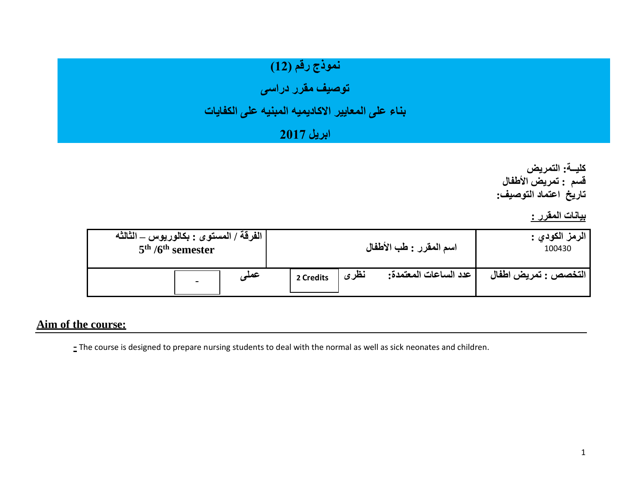# نموذج رقم (12)

**توصيف مقرر دراسى** 

## **بناء على المعايير االكاديميه المبنيه على الكفايات**

### **ابريل 2017**

**كليــة: التمريض قسم : تمريض األطفال تاريخ اعتماد التوصيف:**

**بيانات المقرر :** 

| الفرقة / المستوى : بكالوريوس ــ الثالثه<br>$5th / 6th$ semester |           | اسم المقرر : طب الأطفال       | الرمز الكودي :<br>100430 |  |
|-----------------------------------------------------------------|-----------|-------------------------------|--------------------------|--|
| - عمد<br>$\blacksquare$                                         | 2 Credits | نظرى<br>عدد الساعات المعتمدة: | التخصص : تمريض اطفال     |  |

#### **Aim of the course:**

**-** The course is designed to prepare nursing students to deal with the normal as well as sick neonates and children.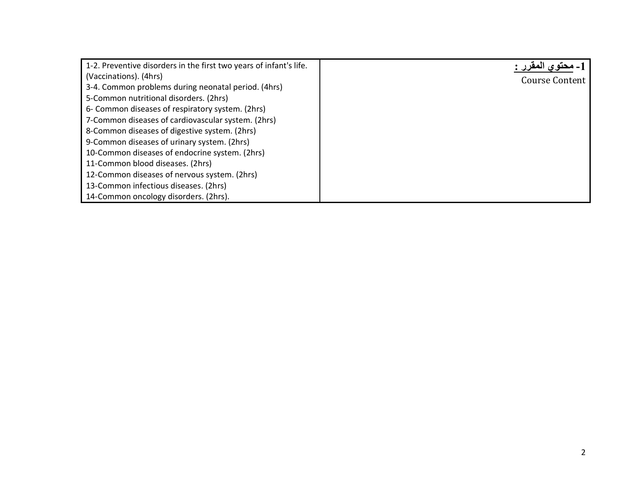| 1-2. Preventive disorders in the first two years of infant's life. |                |
|--------------------------------------------------------------------|----------------|
| (Vaccinations). (4hrs)                                             | Course Content |
| 3-4. Common problems during neonatal period. (4hrs)                |                |
| 5-Common nutritional disorders. (2hrs)                             |                |
| 6- Common diseases of respiratory system. (2hrs)                   |                |
| 7-Common diseases of cardiovascular system. (2hrs)                 |                |
| 8-Common diseases of digestive system. (2hrs)                      |                |
| 9-Common diseases of urinary system. (2hrs)                        |                |
| 10-Common diseases of endocrine system. (2hrs)                     |                |
| 11-Common blood diseases. (2hrs)                                   |                |
| 12-Common diseases of nervous system. (2hrs)                       |                |
| 13-Common infectious diseases. (2hrs)                              |                |
| 14-Common oncology disorders. (2hrs).                              |                |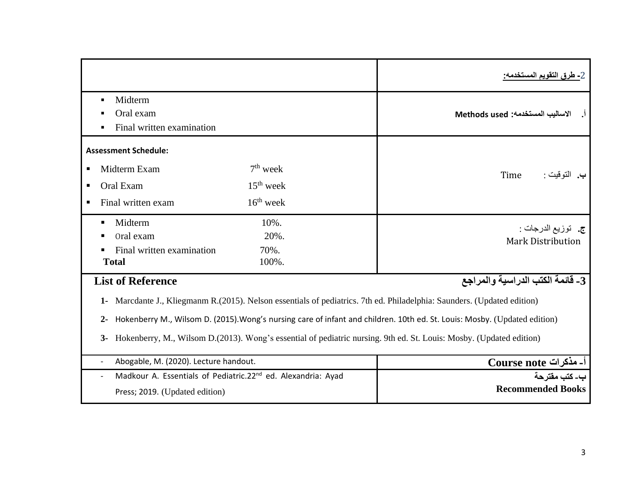|                                                                                                                                                                                                                                                                                                                                                                                                   |                                                                          | 2 <u>- طرق التقويم المس</u> تخدمه:               |  |  |  |
|---------------------------------------------------------------------------------------------------------------------------------------------------------------------------------------------------------------------------------------------------------------------------------------------------------------------------------------------------------------------------------------------------|--------------------------------------------------------------------------|--------------------------------------------------|--|--|--|
| Midterm<br>٠<br>Oral exam<br>٠<br>٠                                                                                                                                                                                                                                                                                                                                                               | Final written examination                                                | الاساليب المستخدمه: Methods used                 |  |  |  |
| <b>Assessment Schedule:</b>                                                                                                                                                                                                                                                                                                                                                                       |                                                                          |                                                  |  |  |  |
| Midterm Exam<br>٠                                                                                                                                                                                                                                                                                                                                                                                 | $7th$ week                                                               | Time<br>ب. التوقيت :                             |  |  |  |
| Oral Exam<br>п                                                                                                                                                                                                                                                                                                                                                                                    | $15th$ week                                                              |                                                  |  |  |  |
| Final written exam                                                                                                                                                                                                                                                                                                                                                                                | $16th$ week                                                              |                                                  |  |  |  |
| Midterm<br>٠<br>Oral exam<br>٠<br><b>Total</b>                                                                                                                                                                                                                                                                                                                                                    | 10%.<br>20%.<br>Final written examination<br>70%.<br>100%.               | ج.   توزيع الدرجات :<br><b>Mark Distribution</b> |  |  |  |
| <b>List of Reference</b>                                                                                                                                                                                                                                                                                                                                                                          |                                                                          | 3_ قَائِمَةَ الْكَتَبِ الدراسيةِ والمراجِع       |  |  |  |
| Marcdante J., Kliegmanm R. (2015). Nelson essentials of pediatrics. 7th ed. Philadelphia: Saunders. (Updated edition)<br>$1 -$<br>Hokenberry M., Wilsom D. (2015). Wong's nursing care of infant and children. 10th ed. St. Louis: Mosby. (Updated edition)<br>$2 -$<br>Hokenberry, M., Wilsom D.(2013). Wong's essential of pediatric nursing. 9th ed. St. Louis: Mosby. (Updated edition)<br>3- |                                                                          |                                                  |  |  |  |
|                                                                                                                                                                                                                                                                                                                                                                                                   | Abogable, M. (2020). Lecture handout.                                    | أ۔ مذکرات Course note                            |  |  |  |
|                                                                                                                                                                                                                                                                                                                                                                                                   | Madkour A. Essentials of Pediatric.22 <sup>nd</sup> ed. Alexandria: Ayad | ب۔ کتب مقتر حة                                   |  |  |  |
|                                                                                                                                                                                                                                                                                                                                                                                                   | Press; 2019. (Updated edition)                                           | <b>Recommended Books</b>                         |  |  |  |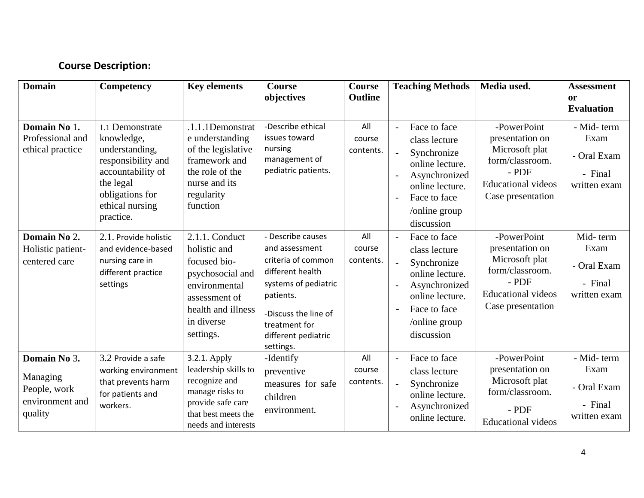#### **Course Description:**

| <b>Domain</b>                                                          | Competency                                                                                                                                                 | <b>Key elements</b>                                                                                                                                   | <b>Course</b><br>objectives                                                                                                                                                                     | <b>Course</b><br><b>Outline</b> |                                                             | <b>Teaching Methods</b>                                                                                                                            | Media used.                                                                                                                      | <b>Assessment</b><br><b>or</b><br><b>Evaluation</b>          |
|------------------------------------------------------------------------|------------------------------------------------------------------------------------------------------------------------------------------------------------|-------------------------------------------------------------------------------------------------------------------------------------------------------|-------------------------------------------------------------------------------------------------------------------------------------------------------------------------------------------------|---------------------------------|-------------------------------------------------------------|----------------------------------------------------------------------------------------------------------------------------------------------------|----------------------------------------------------------------------------------------------------------------------------------|--------------------------------------------------------------|
| Domain No 1.<br>Professional and<br>ethical practice                   | 1.1 Demonstrate<br>knowledge,<br>understanding,<br>responsibility and<br>accountability of<br>the legal<br>obligations for<br>ethical nursing<br>practice. | .1.1.1Demonstrat<br>e understanding<br>of the legislative<br>framework and<br>the role of the<br>nurse and its<br>regularity<br>function              | -Describe ethical<br>issues toward<br>nursing<br>management of<br>pediatric patients.                                                                                                           | All<br>course<br>contents.      | $\Box$<br>$\overline{\phantom{a}}$<br>$\blacksquare$        | Face to face<br>class lecture<br>Synchronize<br>online lecture.<br>Asynchronized<br>online lecture.<br>Face to face<br>/online group<br>discussion | -PowerPoint<br>presentation on<br>Microsoft plat<br>form/classroom.<br>$-$ PDF<br><b>Educational videos</b><br>Case presentation | - Mid-term<br>Exam<br>- Oral Exam<br>- Final<br>written exam |
| Domain No 2.<br>Holistic patient-<br>centered care                     | 2.1. Provide holistic<br>and evidence-based<br>nursing care in<br>different practice<br>settings                                                           | 2.1.1. Conduct<br>holistic and<br>focused bio-<br>psychosocial and<br>environmental<br>assessment of<br>health and illness<br>in diverse<br>settings. | - Describe causes<br>and assessment<br>criteria of common<br>different health<br>systems of pediatric<br>patients.<br>-Discuss the line of<br>treatment for<br>different pediatric<br>settings. | All<br>course<br>contents.      | $\sim$<br>$\frac{1}{2}$<br>$\overline{a}$<br>$\overline{a}$ | Face to face<br>class lecture<br>Synchronize<br>online lecture.<br>Asynchronized<br>online lecture.<br>Face to face<br>/online group<br>discussion | -PowerPoint<br>presentation on<br>Microsoft plat<br>form/classroom.<br>$-$ PDF<br><b>Educational videos</b><br>Case presentation | Mid-term<br>Exam<br>- Oral Exam<br>- Final<br>written exam   |
| Domain No 3.<br>Managing<br>People, work<br>environment and<br>quality | 3.2 Provide a safe<br>working environment<br>that prevents harm<br>for patients and<br>workers.                                                            | 3.2.1. Apply<br>leadership skills to<br>recognize and<br>manage risks to<br>provide safe care<br>that best meets the<br>needs and interests           | -Identify<br>preventive<br>measures for safe<br>children<br>environment.                                                                                                                        | All<br>course<br>contents.      | $\overline{a}$<br>$\Box$<br>$\blacksquare$                  | Face to face<br>class lecture<br>Synchronize<br>online lecture.<br>Asynchronized<br>online lecture.                                                | -PowerPoint<br>presentation on<br>Microsoft plat<br>form/classroom.<br>$-$ PDF<br><b>Educational</b> videos                      | - Mid-term<br>Exam<br>- Oral Exam<br>- Final<br>written exam |